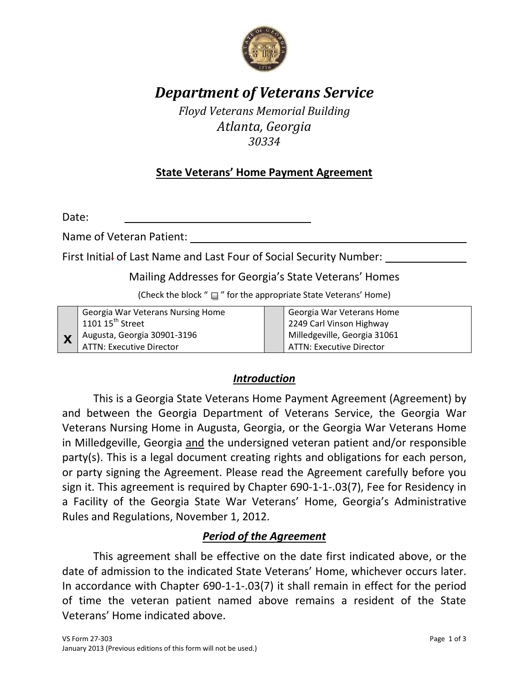

# *Department of Veterans Service*

*Floyd Veterans Memorial Building Atlanta, Georgia 30334* 

## **State Veterans' Home Payment Agreement**

Date:

Name of Veteran Patient:

First Initial of Last Name and Last Four of Social Security Number:

#### Mailing Addresses for Georgia's State Veterans' Homes

(Check the block " $\Box$ " for the appropriate State Veterans' Home)

| <b>Georgia War Veterans Nursing Home</b><br>1101 15 <sup>th</sup> Street | Georgia War Veterans Home<br>2249 Carl Vinson Highway           |
|--------------------------------------------------------------------------|-----------------------------------------------------------------|
| Augusta, Georgia 30901-3196<br><b>ATTN: Executive Director</b>           | Milledgeville, Georgia 31061<br><b>ATTN: Executive Director</b> |

#### *Introduction*

 This is a Georgia State Veterans Home Payment Agreement (Agreement) by and between the Georgia Department of Veterans Service, the Georgia War Veterans Nursing Home in Augusta, Georgia, or the Georgia War Veterans Home in Milledgeville, Georgia and the undersigned veteran patient and/or responsible party(s). This is a legal document creating rights and obligations for each person, or party signing the Agreement. Please read the Agreement carefully before you sign it. This agreement is required by Chapter 690-1-1-.03(7), Fee for Residency in a Facility of the Georgia State War Veterans' Home, Georgia's Administrative Rules and Regulations, November 1, 2012.

#### *Period of the Agreement*

 This agreement shall be effective on the date first indicated above, or the date of admission to the indicated State Veterans' Home, whichever occurs later. In accordance with Chapter 690-1-1-.03(7) it shall remain in effect for the period of time the veteran patient named above remains a resident of the State Veterans' Home indicated above.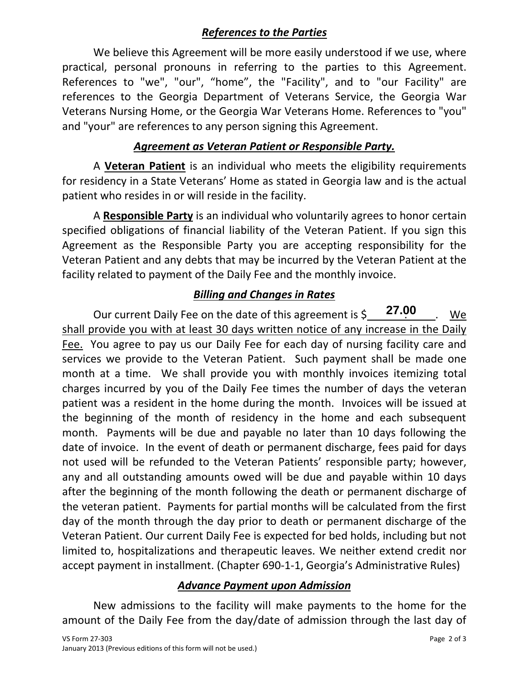## *References to the Parties*

 We believe this Agreement will be more easily understood if we use, where practical, personal pronouns in referring to the parties to this Agreement. References to "we", "our", "home", the "Facility", and to "our Facility" are references to the Georgia Department of Veterans Service, the Georgia War Veterans Nursing Home, or the Georgia War Veterans Home. References to "you" and "your" are references to any person signing this Agreement.

### *Agreement as Veteran Patient or Responsible Party.*

A **Veteran Patient** is an individual who meets the eligibility requirements for residency in a State Veterans' Home as stated in Georgia law and is the actual patient who resides in or will reside in the facility.

A **Responsible Party** is an individual who voluntarily agrees to honor certain specified obligations of financial liability of the Veteran Patient. If you sign this Agreement as the Responsible Party you are accepting responsibility for the Veteran Patient and any debts that may be incurred by the Veteran Patient at the facility related to payment of the Daily Fee and the monthly invoice.

## *Billing and Changes in Rates*

Our current Daily Fee on the date of this agreement is  $\zeta = 27.00$ . We shall provide you with at least 30 days written notice of any increase in the Daily Fee. You agree to pay us our Daily Fee for each day of nursing facility care and services we provide to the Veteran Patient. Such payment shall be made one month at a time. We shall provide you with monthly invoices itemizing total charges incurred by you of the Daily Fee times the number of days the veteran patient was a resident in the home during the month. Invoices will be issued at the beginning of the month of residency in the home and each subsequent month. Payments will be due and payable no later than 10 days following the date of invoice. In the event of death or permanent discharge, fees paid for days not used will be refunded to the Veteran Patients' responsible party; however, any and all outstanding amounts owed will be due and payable within 10 days after the beginning of the month following the death or permanent discharge of the veteran patient. Payments for partial months will be calculated from the first day of the month through the day prior to death or permanent discharge of the Veteran Patient. Our current Daily Fee is expected for bed holds, including but not limited to, hospitalizations and therapeutic leaves. We neither extend credit nor accept payment in installment. (Chapter 690-1-1, Georgia's Administrative Rules) **27.00**

#### *Advance Payment upon Admission*

 New admissions to the facility will make payments to the home for the amount of the Daily Fee from the day/date of admission through the last day of